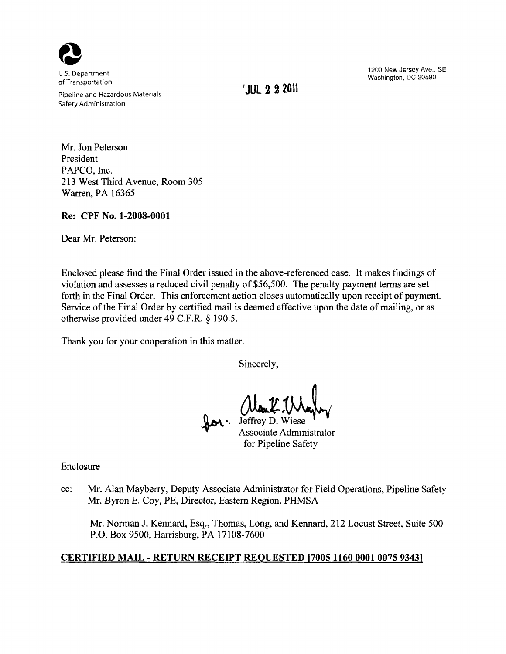

of Transportation<br>Pipeline and Hazardous Materials **'JUL 2 2 2011** Safety Administration

1200 New Jersey Ave., SE u.s. Department Washington, DC 20590 of Transportation

Mr. Jon Peterson President PAPCO, Inc. 213 West Third Avenue, Room 305 Warren, PA 16365

## Re: CPF No. 1-2008-0001

Dear Mr. Peterson:

Enclosed please find the Final Order issued in the above-referenced case. It makes findings of violation and assesses a reduced civil penalty of \$56,500. The penalty payment terms are set forth in the Final Order. This enforcement action closes automatically upon receipt of payment. Service of the Final Order by certified mail is deemed effective upon the date of mailing, or as otherwise provided under 49 C.F.R. § 190.5.

Thank you for your cooperation in this matter.

Sincerely,

•• Man L. Mayley<br>Jeffrey D. Wiese<br>Associate Administrator

for Pipeline Safety

Enclosure

cc: Mr. Alan Mayberry, Deputy Associate Administrator for Field Operations, Pipeline Safety Mr. Byron E. Coy, PE, Director, Eastern Region, PHMSA

Mr. Norman J. Kennard, Esq., Thomas, Long, and Kennard, 212 Locust Street, Suite 500 P.O. Box 9500, Harrisburg, PA 17108-7600

# CERTIFIED MAIL - RETURN RECEIPT REQUESTED [7005 1160 0001 0075 9343]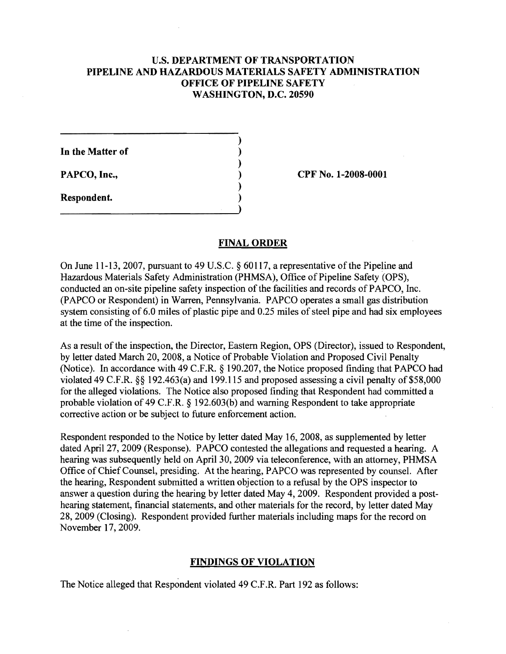# U.S. DEPARTMENT OF TRANSPORTATION PIPELINE AND HAZARDOUS MATERIALS SAFETY ADMINISTRATION OFFICE OF PIPELINE SAFETY WASHINGTON, D.C. 20590

)

)

)

)

In the Matter of

Respondent. )

PAPCO, Inc., 2008-0001

# FINAL ORDER

On June 11-13, 2007, pursuant to 49 U.S.C.  $\S$  60117, a representative of the Pipeline and Hazardous Materials Safety Administration (PHMSA), Office of Pipeline Safety (OPS), conducted an on-site pipeline safety inspection of the facilities and records of PAPCO, Inc. (PAPCO or Respondent) in Warren, Pennsylvania. PAPCO operates a small gas distribution system consisting of 6.0 miles of plastic pipe and 0.25 miles of steel pipe and had six employees at the time of the inspection.

As a result of the inspection, the Director, Eastern Region, OPS (Director), issued to Respondent, by letter dated March 20, 2008, a Notice of Probable Violation and Proposed Civil Penalty (Notice). In accordance with 49 C.F.R. § 190.207, the Notice proposed finding that PAPCO had violated 49 C.F.R. §§ 192.463(a) and 199.115 and proposed assessing a civil penalty of \$58,000 for the alleged violations. The Notice also proposed finding that Respondent had committed a probable violation of 49 C.F.R. § 192.603(b) and warning Respondent to take appropriate corrective action or be subject to future enforcement action.

Respondent responded to the Notice by letter dated May 16, 2008, as supplemented by letter dated April 27, 2009 (Response). PAPCO contested the allegations and requested a hearing. A hearing was subsequently held on April 30, 2009 via teleconference, with an attorney, PHMSA Office of Chief Counsel, presiding. At the hearing, PAPCO was represented by counsel. After the hearing, Respondent submitted a written objection to a refusal by the OPS inspector to answer a question during the hearing by letter dated May 4, 2009. Respondent provided a posthearing statement, financial statements, and other materials for the record, by letter dated May 28, 2009 (Closing). Respondent provided further materials including maps for the record on November 17,2009.

# FINDINGS OF VIOLATION

The Notice alleged that Respondent violated 49 C.F.R. Part 192 as follows: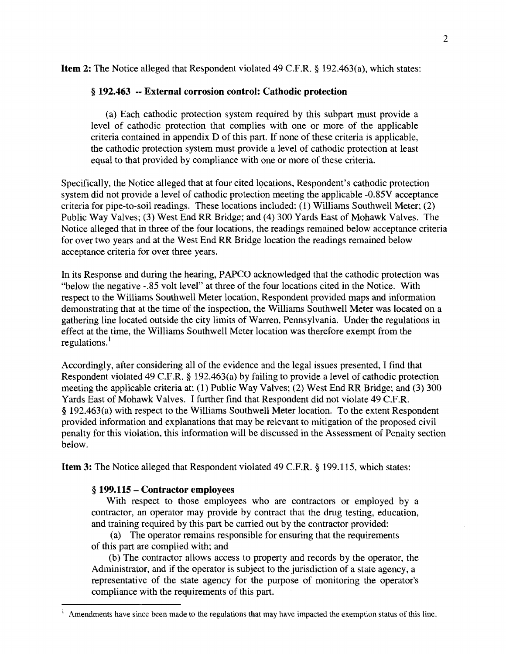Item 2: The Notice alleged that Respondent violated 49 c.F.R. § 192.463(a), which states:

### § 192.463 •• External corrosion control: Cathodic protection

(a) Each cathodic protection system required by this subpart must provide a level of cathodic protection that complies with one or more of the applicable criteria contained in appendix D of this part. If none of these criteria is applicable, the cathodic protection system must provide a level of cathodic protection at least equal to that provided by compliance with one or more of these criteria.

Specifically, the Notice alleged that at four cited locations, Respondent's cathodic protection system did not provide a level of cathodic protection meeting the applicable -0.85V acceptance criteria for pipe-to-soil readings. These locations included: (1) Williams Southwell Meter; (2) Public Way Valves; (3) West End RR Bridge; and (4) 300 Yards East of Mohawk Valves. The Notice alleged that in three of the four locations, the readings remained below acceptance criteria for over two years and at the West End RR Bridge location the readings remained below acceptance criteria for over three years.

In its Response and during the hearing, PAPCO acknowledged that the cathodic protection was "below the negative -.85 volt level" at three of the four locations cited in the Notice. With respect to the Williams Southwell Meter location, Respondent provided maps and information demonstrating that at the time of the inspection, the Williams Southwell Meter was located on a gathering line located outside the city limits of Warren, Pennsylvania. Under the regulations in effect at the time, the Williams Southwell Meter location was therefore exempt from the regulations.<sup>1</sup>

Accordingly, after considering all of the evidence and the legal issues presented, I find that Respondent violated 49 C.F.R. § 192.463(a) by failing to provide a level of cathodic protection meeting the applicable criteria at: (1) Public Way Valves; (2) West End RR Bridge; and (3) 300 Yards East of Mohawk Valves. I further find that Respondent did not violate 49 C.F.R. § 192.463(a) with respect to the Williams Southwell Meter location. To the extent Respondent provided information and explanations that may be relevant to mitigation of the proposed civil penalty for this violation, this information will be discussed in the Assessment of Penalty section below.

Item 3: The Notice alleged that Respondent violated 49 C.F.R. § 199.115, which states:

### § 199.115 - Contractor employees

With respect to those employees who are contractors or employed by a contractor, an operator may provide by contract that the drug testing, education, and training required by this part be carried out by the contractor provided:

(a) The operator remains responsible for ensuring that the requirements of this part are complied with; and

(b) The contractor allows access to property and records by the operator, the Administrator, and if the operator is subject to the jurisdiction of a state agency, a representative of the state agency for the purpose of monitoring the operator's compliance with the requirements of this part.

 $\frac{1}{1}$  Amendments have since been made to the regulations that may have impacted the exemption status of this line.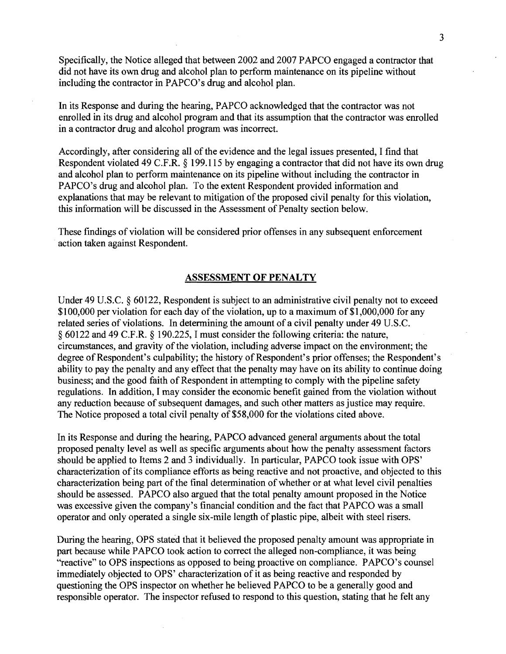Specifically, the Notice alleged that between 2002 and 2007 PAPCO engaged a contractor that did not have its own drug and alcohol plan to perform maintenance on its pipeline without including the contractor in PAPCO's drug and alcohol plan.

In its Response and during the hearing, PAPCO acknowledged that the contractor was not enrolled in its drug and alcohol program and that its assumption that the contractor was enrolled in a contractor drug and alcohol program was incorrect.

Accordingly, after considering all of the evidence and the legal issues presented, I find that Respondent violated 49 C.F.R. § 199.115 by engaging a contractor that did not have its own drug and alcohol plan to perform maintenance on its pipeline without including the contractor in PAPCO's drug and alcohol plan. To the extent Respondent provided information and explanations that may be relevant to mitigation of the proposed civil penalty for this violation, this information will be discussed in the Assessment of Penalty section below.

These findings of violation will be considered prior offenses in any subsequent enforcement action taken against Respondent.

#### ASSESSMENT OF PENALTY

Under 49 U.S.C. § 60122, Respondent is subject to an administrative civil penalty not to exceed \$100,000 per violation for each day of the violation, up to a maximum of \$1,000,000 for any related series of violations. In determining the amount of a civil penalty under 49 U.S.C. § 60122 and 49 C.F.R. § 190.225, I must consider the following criteria: the nature, circumstances, and gravity of the violation, including adverse impact on the environment; the degree of Respondent's culpability; the history of Respondent's prior offenses; the Respondent's ability to pay the penalty and any effect that the penalty may have on its ability to continue doing business; and the good faith of Respondent in attempting to comply with the pipeline safety regulations. In addition, I may consider the economic benefit gained from the violation without any reduction because of subsequent damages, and such other matters as justice may require. The Notice proposed a total civil penalty of \$58,000 for the violations cited above.

In its Response and during the hearing, PAPCO advanced general arguments about the total proposed penalty level as well as specific arguments about how the penalty assessment factors should be applied to Items 2 and 3 individually. In particular, PAPCO took issue with OPS' characterization of its compliance efforts as being reactive and not proactive, and objected to this characterization being part of the final determination of whether or at what level civil penalties should be assessed. PAPCO also argued that the total penalty amount proposed in the Notice was excessive given the company's financial condition and the fact that PAPCO was a small operator and only operated a single six-mile length of plastic pipe, albeit with steel risers.

During the hearing, OPS stated that it believed the proposed penalty amount was appropriate in part because while PAPCO took action to correct the alleged non-compliance, it was being "reactive" to OPS inspections as opposed to being proactive on compliance. PAPCO's counsel immediately objected to OPS' characterization of it as being reactive and responded by questioning the OPS inspector on whether he believed PAPCO to be a generally good and responsible operator. The inspector refused to respond to this question, stating that he felt any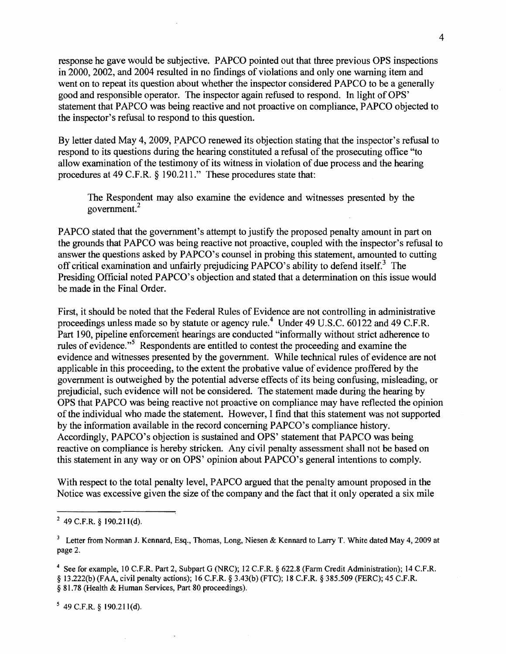response he gave would be subjective. PAPCO pointed out that three previous OPS inspections in 2000, 2002, and 2004 resulted in no findings of violations and only one warning item and went on to repeat its question about whether the inspector considered PAPCO to be a generally good and responsible operator. The inspector again refused to respond. In light of OPS' statement that PAPCO was being reactive and not proactive on compliance, PAPCO objected to the inspector's refusal to respond to this question.

By letter dated May 4, 2009, PAPCO renewed its objection stating that the inspector's refusal to respond to its questions during the hearing constituted a refusal of the prosecuting office "to" allow examination of the testimony of its witness in violation of due process and the hearing procedures at 49 C.F.R. § 190.211." These procedures state that:

The Respondent may also examine the evidence and witnesses presented by the <sup>2</sup> government.

PAPCO stated that the government's attempt to justify the proposed penalty amount in part on the grounds that PAPCO was being reactive not proactive, coupled with the inspector's refusal to answer the questions asked by PAPCO's counsel in probing this statement, amounted to cutting off critical examination and unfairly prejudicing PAPCO's ability to defend itself.<sup>3</sup> The Presiding Official noted PAPCO's objection and stated that a determination on this issue would be made in the Final Order.

First, it should be noted that the Federal Rules of Evidence are not controlling in administrative proceedings unless made so by statute or agency rule.<sup>4</sup> Under 49 U.S.C. 60122 and 49 C.F.R. Part 190, pipeline enforcement hearings are conducted "informally without strict adherence to rules of evidence.<sup>" Respondents</sup> are entitled to contest the proceeding and examine the evidence and witnesses presented by the government. While technical rules of evidence are not applicable in this proceeding, to the extent the probative value of evidence proffered by the government is outweighed by the potential adverse effects of its being confusing, misleading, or prejudicial, such evidence will not be considered. The statement made during the hearing by OPS that PAPCO was being reactive not proactive on compliance may have reflected the opinion of the individual who made the statement. However, I find that this statement was not supported by the information available in the record concerning PAPCO's compliance history. Accordingly, PAPCO's objection is sustained and OPS' statement that PAPCO was being reactive on compliance is hereby stricken. Any civil penalty assessment shall not be based on this statement in any way or on OPS' opinion about PAPCO's general intentions to comply.

With respect to the total penalty level, PAPCO argued that the penalty amount proposed in the Notice was excessive given the size of the company and the fact that it only operated a six mile

 $5$  49 C.F.R. § 190.211(d).

 $249$  C.F.R. § 190.211(d).

<sup>&</sup>lt;sup>3</sup> Letter from Norman J. Kennard, Esq., Thomas, Long, Niesen & Kennard to Larry T. White dated May 4, 2009 at page 2.

<sup>4</sup> See for example, IO C.F.R. Part 2, Subpart G (NRC); 12 C.F.R. § 622.8 (Farm Credit Administration); 14 C.F.R. § 13.222(b) (FAA, civil penalty actions); 16 C.F.R. § 3.43(b) (FTC); 18 C.F.R. § 385.509 (FERC); 45 C.F.R. § 81.78 (Health & Human Services, Part 80 proceedings).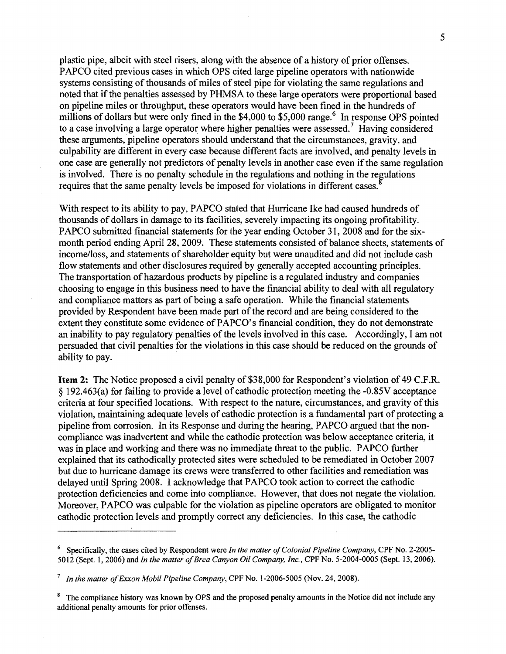plastic pipe, albeit with steel risers, along with the absence of a history of prior offenses. PAPCO cited previous cases in which OPS cited large pipeline operators with nationwide systems consisting of thousands of miles of steel pipe for violating the same regulations and noted that if the penalties assessed by PHMSA to these large operators were proportional based on pipeline miles or throughput, these operators would have been fined in the hundreds of millions of dollars but were only fined in the \$4,000 to \$5,000 range.<sup>6</sup> In response OPS pointed to a case involving a large operator where higher penalties were assessed.<sup>7</sup> Having considered these arguments, pipeline operators should understand that the circumstances, gravity, and culpability are different in every case because different facts are involved, and penalty levels in one case are generally not predictors of penalty levels in another case even if the same regulation is involved. There is no penalty schedule in the regulations and nothing in the regulations requires that the same penalty levels be imposed for violations in different cases.

With respect to its ability to pay, PAPCO stated that Hurricane Ike had caused hundreds of thousands of dollars in damage to its facilities, severely impacting its ongoing profitability. PAPCO submitted financial statements for the year ending October 31, 2008 and for the sixmonth period ending April 28, 2009. These statements consisted of balance sheets, statements of income/loss, and statements of shareholder equity but were unaudited and did not include cash flow statements and other disclosures required by generally accepted accounting principles. The transportation ofhazardous products by pipeline is a regulated industry and companies choosing to engage in this business need to have the financial ability to deal with all regulatory and compliance matters as part of being a safe operation. While the financial statements provided by Respondent have been made part ofthe record and are being considered to the extent they constitute some evidence of PAPCO's financial condition, they do not demonstrate an inability to pay regulatory penalties of the levels involved in this case. Accordingly, I am not persuaded that civil penalties for the violations in this case should be reduced on the grounds of ability to pay.

Item 2: The Notice proposed a civil penalty of \$38,000 for Respondent's violation of 49 C.F.R.  $§$  192.463(a) for failing to provide a level of cathodic protection meeting the -0.85V acceptance criteria at four specified locations. With respect to the nature, circumstances, and gravity ofthis violation, maintaining adequate levels of cathodic protection is a fundamental part of protecting a pipeline from corrosion. In its Response and during the hearing, P APCO argued that the noncompliance was inadvertent and while the cathodic protection was below acceptance criteria, it was in place and working and there was no immediate threat to the public. PAPCO further explained that its cathodically protected sites were scheduled to be remediated in October 2007 but due to hurricane damage its crews were transferred to other facilities and remediation was delayed until Spring 2008. I acknowledge that PAPCO took action to correct the cathodic protection deficiencies and come into compliance. However, that does not negate the violation. Moreover, PAPCO was culpable for the violation as pipeline operators are obligated to monitor cathodic protection levels and promptly correct any deficiencies. In this case, the cathodic

<sup>6</sup> Specifically, the cases cited by Respondent were *In the matter o/Colonial Pipeline Company,* CPF No. 2-2005 5012 (Sept. 1,2006) and *In the matter 0/Brea Canyon Oil Company, Inc.,* CPF No. 5-2004-0005 (Sept. 13,2006).

*<sup>7</sup> In the matter 0/Exxon Mobil Pipeline Company,* CPF No. 1-2006-5005 (Nov. 24, 2008).

<sup>&</sup>lt;sup>8</sup> The compliance history was known by OPS and the proposed penalty amounts in the Notice did not include any additional penalty amounts for prior offenses.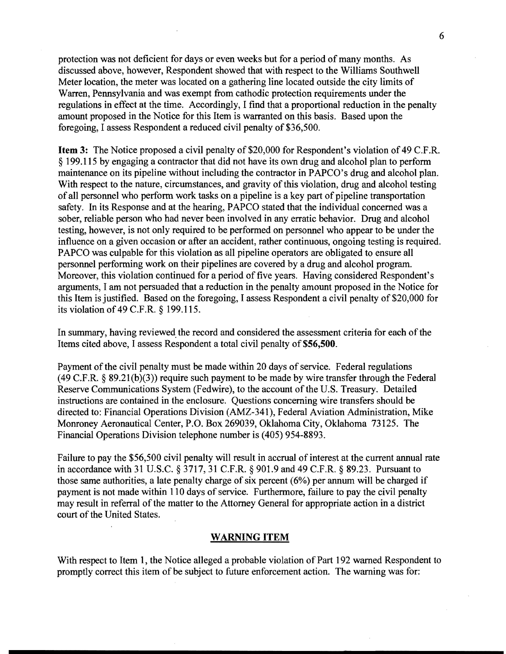protection was not deficient for days or even weeks but for a period of many months. As discussed above, however, Respondent showed that with respect to the Williams Southwell Meter location, the meter was located on a gathering line located outside the city limits of Warren, Pennsylvania and was exempt from cathodic protection requirements under the regulations in effect at the time. Accordingly, I find that a proportional reduction in the penalty amount proposed in the Notice for this Item is warranted on this basis. Based upon the foregoing, I assess Respondent a reduced civil penalty of \$36,500.

**Item 3:** The Notice proposed a civil penalty of \$20,000 for Respondent's violation of 49 C.F.R. § 199.115 by engaging a contractor that did not have its own drug and alcohol plan to perform maintenance on its pipeline without including the contractor in PAPCO's drug and alcohol plan. With respect to the nature, circumstances, and gravity of this violation, drug and alcohol testing of all personnel who perform work tasks on a pipeline is a key part of pipeline transportation safety. In its Response and at the hearing, PAPCO stated that the individual concerned was a sober, reliable person who had never been involved in any erratic behavior. Drug and alcohol testing, however, is not only required to be performed on personnel who appear to be under the influence on a given occasion or after an accident, rather continuous, ongoing testing is required. PAPCO was culpable for this violation as all pipeline operators are obligated to ensure all personnel performing work on their pipelines are covered by a drug and alcohol program. Moreover, this violation continued for a period of five years. Having considered Respondent's arguments, I am not persuaded that a reduction in the penalty amount proposed in the Notice for this Item is justified. Based on the foregoing, I assess Respondent a civil penalty of \$20,000 for its violation of49 C.F.R. § 199.115.

In summary, having reviewed the record and considered the assessment criteria for each of the Items cited above, I assess Respondent a total civil penalty of \$56,500.

Payment of the civil penalty must be made within 20 days of service. Federal regulations  $(49 \text{ C.F.R.} \S 89.21(b)(3))$  require such payment to be made by wire transfer through the Federal Reserve Communications System (Fedwire), to the account of the U.S. Treasury. Detailed instructions are contained in the enclosure. Questions concerning wire transfers should be directed to: Financial Operations Division (AMZ-341), Federal Aviation Administration, Mike Monroney Aeronautical Center, P.O. Box 269039, Oklahoma City, Oklahoma 73125. The Financial Operations Division telephone number is (405) 954-8893.

Failure to pay the \$56,500 civil penalty will result in accrual of interest at the current annual rate in accordance with 31 U.S.C. § 3717, 31 C.F.R. § 901.9 and 49 C.F.R. § 89.23. Pursuant to those same authorities, a late penalty charge of six percent (6%) per annum will be charged if payment is not made within 110 days of service. Furthermore, failure to pay the civil penalty may result in referral of the matter to the Attorney General for appropriate action in a district court of the United States.

#### **WARNING ITEM**

With respect to Item 1, the Notice alleged a probable violation of Part 192 warned Respondent to promptly correct this item of be subject to future enforcement action. The warning was for: